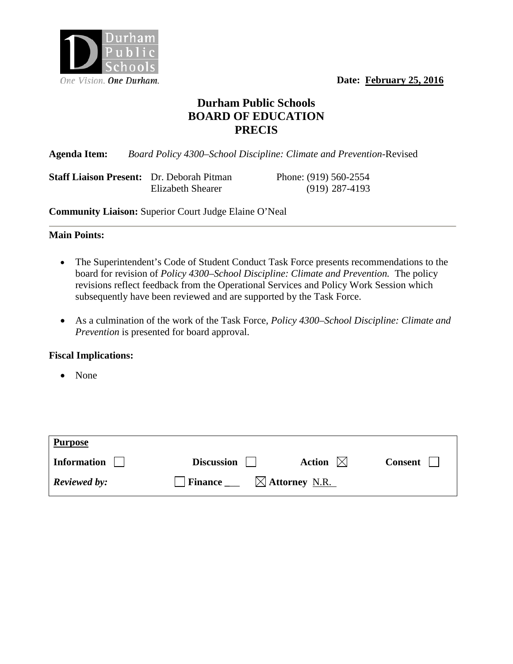One Vision. One Durham. **Date: February 25, 2016** 



# **Durham Public Schools BOARD OF EDUCATION PRECIS**

**Agenda Item:** *Board Policy 4300–School Discipline: Climate and Prevention-*Revised

**Staff Liaison Present:** Dr. Deborah Pitman Phone: (919) 560-2554 Elizabeth Shearer(919) 287-4193

**Community Liaison:** Superior Court Judge Elaine O'Neal

## **Main Points:**

- The Superintendent's Code of Student Conduct Task Force presents recommendations to the board for revision of *Policy 4300–School Discipline: Climate and Prevention*. The policy revisions reflect feedback from the Operational Services and Policy Work Session which subsequently have been reviewed and are supported by the Task Force.
- As a culmination of the work of the Task Force, *Policy 4300–School Discipline: Climate and Prevention* is presented for board approval.

## **Fiscal Implications:**

• None

| <b>Purpose</b>      |                                                     |                  |         |
|---------------------|-----------------------------------------------------|------------------|---------|
| <b>Information</b>  | <b>Discussion</b>                                   | Action $\bowtie$ | Consent |
| <b>Reviewed by:</b> | $\boxtimes$ Attorney N.R.<br>$\blacksquare$ Finance |                  |         |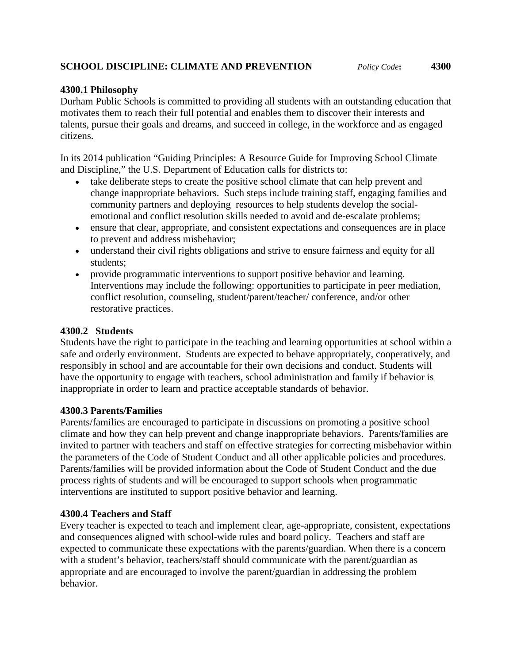# **SCHOOL DISCIPLINE: CLIMATE AND PREVENTION** *Policy Code***: 4300**

## **4300.1 Philosophy**

Durham Public Schools is committed to providing all students with an outstanding education that motivates them to reach their full potential and enables them to discover their interests and talents, pursue their goals and dreams, and succeed in college, in the workforce and as engaged citizens.

In its 2014 publication "Guiding Principles: A Resource Guide for Improving School Climate and Discipline," the U.S. Department of Education calls for districts to:

- take deliberate steps to create the positive school climate that can help prevent and change inappropriate behaviors. Such steps include training staff, engaging families and community partners and deploying resources to help students develop the socialemotional and conflict resolution skills needed to avoid and de-escalate problems;
- ensure that clear, appropriate, and consistent expectations and consequences are in place to prevent and address misbehavior;
- understand their civil rights obligations and strive to ensure fairness and equity for all students;
- provide programmatic interventions to support positive behavior and learning. Interventions may include the following: opportunities to participate in peer mediation, conflict resolution, counseling, student/parent/teacher/ conference, and/or other restorative practices.

#### **4300.2 Students**

Students have the right to participate in the teaching and learning opportunities at school within a safe and orderly environment. Students are expected to behave appropriately, cooperatively, and responsibly in school and are accountable for their own decisions and conduct. Students will have the opportunity to engage with teachers, school administration and family if behavior is inappropriate in order to learn and practice acceptable standards of behavior.

#### **4300.3 Parents/Families**

Parents/families are encouraged to participate in discussions on promoting a positive school climate and how they can help prevent and change inappropriate behaviors. Parents/families are invited to partner with teachers and staff on effective strategies for correcting misbehavior within the parameters of the Code of Student Conduct and all other applicable policies and procedures. Parents/families will be provided information about the Code of Student Conduct and the due process rights of students and will be encouraged to support schools when programmatic interventions are instituted to support positive behavior and learning.

## **4300.4 Teachers and Staff**

Every teacher is expected to teach and implement clear, age-appropriate, consistent, expectations and consequences aligned with school-wide rules and board policy. Teachers and staff are expected to communicate these expectations with the parents/guardian. When there is a concern with a student's behavior, teachers/staff should communicate with the parent/guardian as appropriate and are encouraged to involve the parent/guardian in addressing the problem behavior.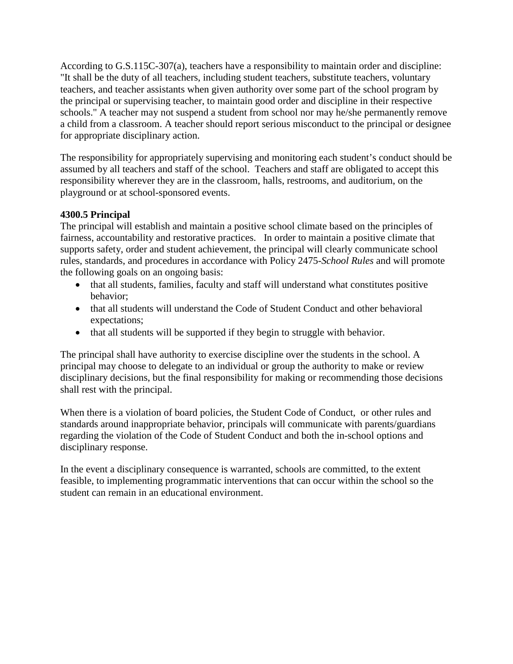According to G.S.115C-307(a), teachers have a responsibility to maintain order and discipline: "It shall be the duty of all teachers, including student teachers, substitute teachers, voluntary teachers, and teacher assistants when given authority over some part of the school program by the principal or supervising teacher, to maintain good order and discipline in their respective schools." A teacher may not suspend a student from school nor may he/she permanently remove a child from a classroom. A teacher should report serious misconduct to the principal or designee for appropriate disciplinary action.

The responsibility for appropriately supervising and monitoring each student's conduct should be assumed by all teachers and staff of the school. Teachers and staff are obligated to accept this responsibility wherever they are in the classroom, halls, restrooms, and auditorium, on the playground or at school-sponsored events.

## **4300.5 Principal**

The principal will establish and maintain a positive school climate based on the principles of fairness, accountability and restorative practices. In order to maintain a positive climate that supports safety, order and student achievement, the principal will clearly communicate school rules, standards, and procedures in accordance with Policy 2475-*School Rules* and will promote the following goals on an ongoing basis:

- that all students, families, faculty and staff will understand what constitutes positive behavior;
- that all students will understand the Code of Student Conduct and other behavioral expectations;
- that all students will be supported if they begin to struggle with behavior.

The principal shall have authority to exercise discipline over the students in the school. A principal may choose to delegate to an individual or group the authority to make or review disciplinary decisions, but the final responsibility for making or recommending those decisions shall rest with the principal.

When there is a violation of board policies, the Student Code of Conduct, or other rules and standards around inappropriate behavior, principals will communicate with parents/guardians regarding the violation of the Code of Student Conduct and both the in-school options and disciplinary response.

In the event a disciplinary consequence is warranted, schools are committed, to the extent feasible, to implementing programmatic interventions that can occur within the school so the student can remain in an educational environment.